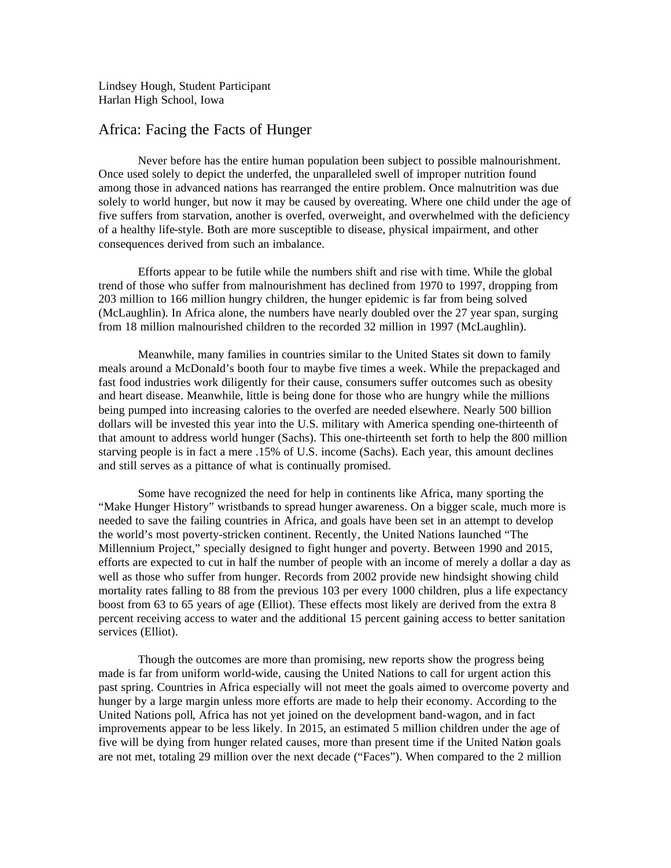Lindsey Hough, Student Participant Harlan High School, Iowa

## Africa: Facing the Facts of Hunger

Never before has the entire human population been subject to possible malnourishment. Once used solely to depict the underfed, the unparalleled swell of improper nutrition found among those in advanced nations has rearranged the entire problem. Once malnutrition was due solely to world hunger, but now it may be caused by overeating. Where one child under the age of five suffers from starvation, another is overfed, overweight, and overwhelmed with the deficiency of a healthy life-style. Both are more susceptible to disease, physical impairment, and other consequences derived from such an imbalance.

Efforts appear to be futile while the numbers shift and rise with time. While the global trend of those who suffer from malnourishment has declined from 1970 to 1997, dropping from 203 million to 166 million hungry children, the hunger epidemic is far from being solved (McLaughlin). In Africa alone, the numbers have nearly doubled over the 27 year span, surging from 18 million malnourished children to the recorded 32 million in 1997 (McLaughlin).

Meanwhile, many families in countries similar to the United States sit down to family meals around a McDonald's booth four to maybe five times a week. While the prepackaged and fast food industries work diligently for their cause, consumers suffer outcomes such as obesity and heart disease. Meanwhile, little is being done for those who are hungry while the millions being pumped into increasing calories to the overfed are needed elsewhere. Nearly 500 billion dollars will be invested this year into the U.S. military with America spending one-thirteenth of that amount to address world hunger (Sachs). This one-thirteenth set forth to help the 800 million starving people is in fact a mere .15% of U.S. income (Sachs). Each year, this amount declines and still serves as a pittance of what is continually promised.

Some have recognized the need for help in continents like Africa, many sporting the "Make Hunger History" wristbands to spread hunger awareness. On a bigger scale, much more is needed to save the failing countries in Africa, and goals have been set in an attempt to develop the world's most poverty-stricken continent. Recently, the United Nations launched "The Millennium Project," specially designed to fight hunger and poverty. Between 1990 and 2015, efforts are expected to cut in half the number of people with an income of merely a dollar a day as well as those who suffer from hunger. Records from 2002 provide new hindsight showing child mortality rates falling to 88 from the previous 103 per every 1000 children, plus a life expectancy boost from 63 to 65 years of age (Elliot). These effects most likely are derived from the extra 8 percent receiving access to water and the additional 15 percent gaining access to better sanitation services (Elliot).

Though the outcomes are more than promising, new reports show the progress being made is far from uniform world-wide, causing the United Nations to call for urgent action this past spring. Countries in Africa especially will not meet the goals aimed to overcome poverty and hunger by a large margin unless more efforts are made to help their economy. According to the United Nations poll, Africa has not yet joined on the development band-wagon, and in fact improvements appear to be less likely. In 2015, an estimated 5 million children under the age of five will be dying from hunger related causes, more than present time if the United Nation goals are not met, totaling 29 million over the next decade ("Faces"). When compared to the 2 million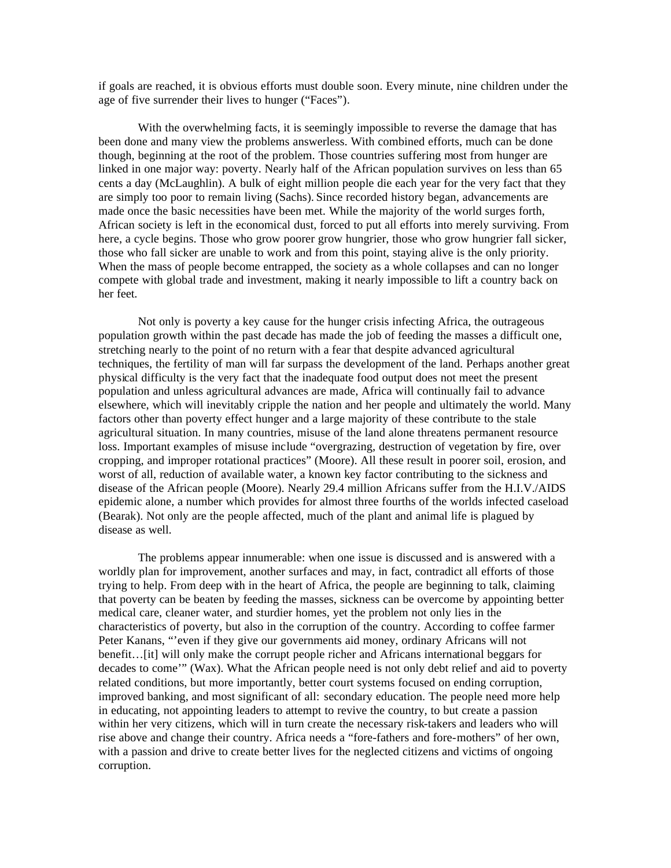if goals are reached, it is obvious efforts must double soon. Every minute, nine children under the age of five surrender their lives to hunger ("Faces").

With the overwhelming facts, it is seemingly impossible to reverse the damage that has been done and many view the problems answerless. With combined efforts, much can be done though, beginning at the root of the problem. Those countries suffering most from hunger are linked in one major way: poverty. Nearly half of the African population survives on less than 65 cents a day (McLaughlin). A bulk of eight million people die each year for the very fact that they are simply too poor to remain living (Sachs). Since recorded history began, advancements are made once the basic necessities have been met. While the majority of the world surges forth, African society is left in the economical dust, forced to put all efforts into merely surviving. From here, a cycle begins. Those who grow poorer grow hungrier, those who grow hungrier fall sicker, those who fall sicker are unable to work and from this point, staying alive is the only priority. When the mass of people become entrapped, the society as a whole collapses and can no longer compete with global trade and investment, making it nearly impossible to lift a country back on her feet.

Not only is poverty a key cause for the hunger crisis infecting Africa, the outrageous population growth within the past decade has made the job of feeding the masses a difficult one, stretching nearly to the point of no return with a fear that despite advanced agricultural techniques, the fertility of man will far surpass the development of the land. Perhaps another great physical difficulty is the very fact that the inadequate food output does not meet the present population and unless agricultural advances are made, Africa will continually fail to advance elsewhere, which will inevitably cripple the nation and her people and ultimately the world. Many factors other than poverty effect hunger and a large majority of these contribute to the stale agricultural situation. In many countries, misuse of the land alone threatens permanent resource loss. Important examples of misuse include "overgrazing, destruction of vegetation by fire, over cropping, and improper rotational practices" (Moore). All these result in poorer soil, erosion, and worst of all, reduction of available water, a known key factor contributing to the sickness and disease of the African people (Moore). Nearly 29.4 million Africans suffer from the H.I.V./AIDS epidemic alone, a number which provides for almost three fourths of the worlds infected caseload (Bearak). Not only are the people affected, much of the plant and animal life is plagued by disease as well.

The problems appear innumerable: when one issue is discussed and is answered with a worldly plan for improvement, another surfaces and may, in fact, contradict all efforts of those trying to help. From deep with in the heart of Africa, the people are beginning to talk, claiming that poverty can be beaten by feeding the masses, sickness can be overcome by appointing better medical care, cleaner water, and sturdier homes, yet the problem not only lies in the characteristics of poverty, but also in the corruption of the country. According to coffee farmer Peter Kanans, "'even if they give our governments aid money, ordinary Africans will not benefit…[it] will only make the corrupt people richer and Africans international beggars for decades to come'" (Wax). What the African people need is not only debt relief and aid to poverty related conditions, but more importantly, better court systems focused on ending corruption, improved banking, and most significant of all: secondary education. The people need more help in educating, not appointing leaders to attempt to revive the country, to but create a passion within her very citizens, which will in turn create the necessary risk-takers and leaders who will rise above and change their country. Africa needs a "fore-fathers and fore-mothers" of her own, with a passion and drive to create better lives for the neglected citizens and victims of ongoing corruption.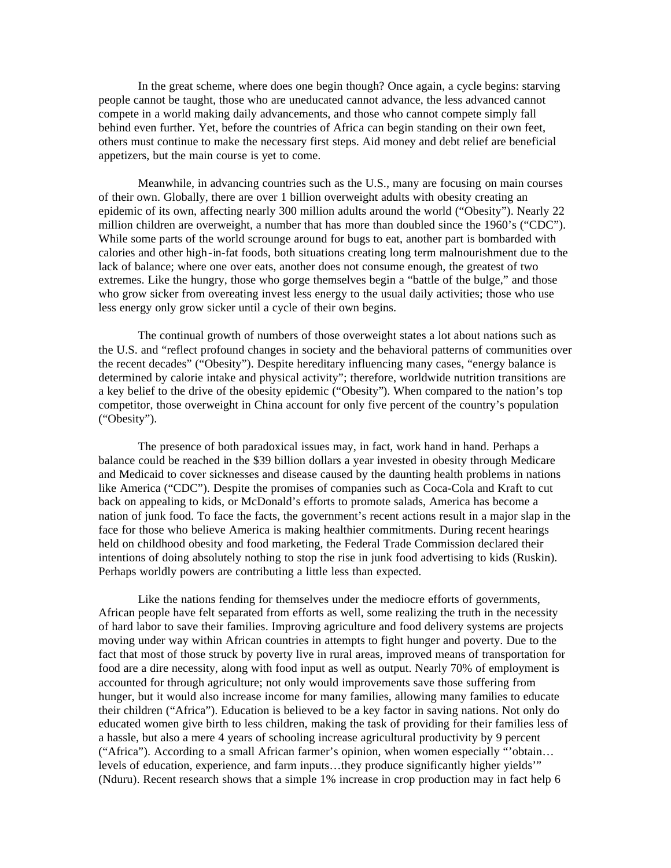In the great scheme, where does one begin though? Once again, a cycle begins: starving people cannot be taught, those who are uneducated cannot advance, the less advanced cannot compete in a world making daily advancements, and those who cannot compete simply fall behind even further. Yet, before the countries of Africa can begin standing on their own feet, others must continue to make the necessary first steps. Aid money and debt relief are beneficial appetizers, but the main course is yet to come.

Meanwhile, in advancing countries such as the U.S., many are focusing on main courses of their own. Globally, there are over 1 billion overweight adults with obesity creating an epidemic of its own, affecting nearly 300 million adults around the world ("Obesity"). Nearly 22 million children are overweight, a number that has more than doubled since the 1960's ("CDC"). While some parts of the world scrounge around for bugs to eat, another part is bombarded with calories and other high-in-fat foods, both situations creating long term malnourishment due to the lack of balance; where one over eats, another does not consume enough, the greatest of two extremes. Like the hungry, those who gorge themselves begin a "battle of the bulge," and those who grow sicker from overeating invest less energy to the usual daily activities; those who use less energy only grow sicker until a cycle of their own begins.

The continual growth of numbers of those overweight states a lot about nations such as the U.S. and "reflect profound changes in society and the behavioral patterns of communities over the recent decades" ("Obesity"). Despite hereditary influencing many cases, "energy balance is determined by calorie intake and physical activity"; therefore, worldwide nutrition transitions are a key belief to the drive of the obesity epidemic ("Obesity"). When compared to the nation's top competitor, those overweight in China account for only five percent of the country's population ("Obesity").

The presence of both paradoxical issues may, in fact, work hand in hand. Perhaps a balance could be reached in the \$39 billion dollars a year invested in obesity through Medicare and Medicaid to cover sicknesses and disease caused by the daunting health problems in nations like America ("CDC"). Despite the promises of companies such as Coca-Cola and Kraft to cut back on appealing to kids, or McDonald's efforts to promote salads, America has become a nation of junk food. To face the facts, the government's recent actions result in a major slap in the face for those who believe America is making healthier commitments. During recent hearings held on childhood obesity and food marketing, the Federal Trade Commission declared their intentions of doing absolutely nothing to stop the rise in junk food advertising to kids (Ruskin). Perhaps worldly powers are contributing a little less than expected.

Like the nations fending for themselves under the mediocre efforts of governments, African people have felt separated from efforts as well, some realizing the truth in the necessity of hard labor to save their families. Improving agriculture and food delivery systems are projects moving under way within African countries in attempts to fight hunger and poverty. Due to the fact that most of those struck by poverty live in rural areas, improved means of transportation for food are a dire necessity, along with food input as well as output. Nearly 70% of employment is accounted for through agriculture; not only would improvements save those suffering from hunger, but it would also increase income for many families, allowing many families to educate their children ("Africa"). Education is believed to be a key factor in saving nations. Not only do educated women give birth to less children, making the task of providing for their families less of a hassle, but also a mere 4 years of schooling increase agricultural productivity by 9 percent ("Africa"). According to a small African farmer's opinion, when women especially "'obtain… levels of education, experience, and farm inputs…they produce significantly higher yields'" (Nduru). Recent research shows that a simple 1% increase in crop production may in fact help 6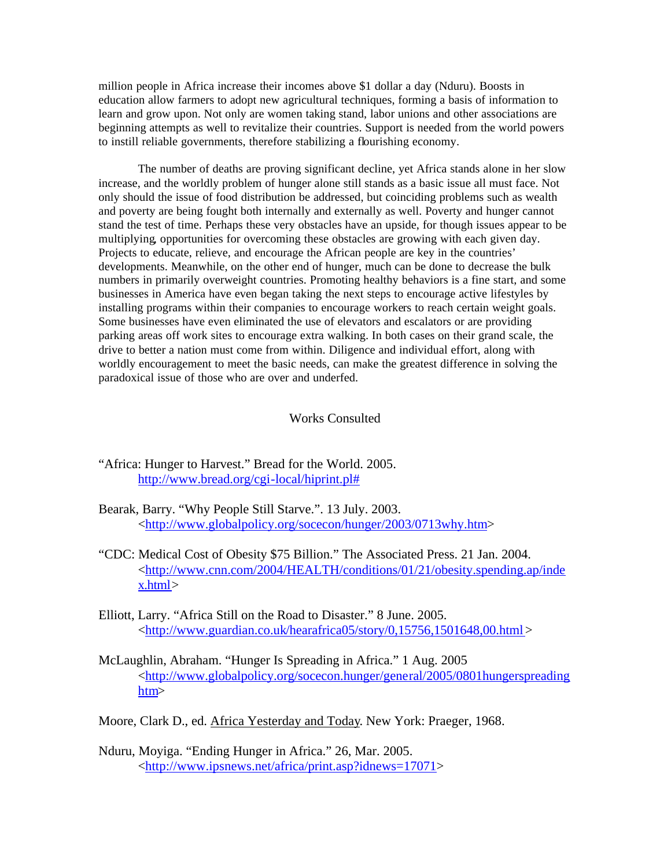million people in Africa increase their incomes above \$1 dollar a day (Nduru). Boosts in education allow farmers to adopt new agricultural techniques, forming a basis of information to learn and grow upon. Not only are women taking stand, labor unions and other associations are beginning attempts as well to revitalize their countries. Support is needed from the world powers to instill reliable governments, therefore stabilizing a flourishing economy.

The number of deaths are proving significant decline, yet Africa stands alone in her slow increase, and the worldly problem of hunger alone still stands as a basic issue all must face. Not only should the issue of food distribution be addressed, but coinciding problems such as wealth and poverty are being fought both internally and externally as well. Poverty and hunger cannot stand the test of time. Perhaps these very obstacles have an upside, for though issues appear to be multiplying, opportunities for overcoming these obstacles are growing with each given day. Projects to educate, relieve, and encourage the African people are key in the countries' developments. Meanwhile, on the other end of hunger, much can be done to decrease the bulk numbers in primarily overweight countries. Promoting healthy behaviors is a fine start, and some businesses in America have even began taking the next steps to encourage active lifestyles by installing programs within their companies to encourage workers to reach certain weight goals. Some businesses have even eliminated the use of elevators and escalators or are providing parking areas off work sites to encourage extra walking. In both cases on their grand scale, the drive to better a nation must come from within. Diligence and individual effort, along with worldly encouragement to meet the basic needs, can make the greatest difference in solving the paradoxical issue of those who are over and underfed.

## Works Consulted

- "Africa: Hunger to Harvest." Bread for the World. 2005. http://www.bread.org/cgi-local/hiprint.pl#
- Bearak, Barry. "Why People Still Starve.". 13 July. 2003. <http://www.globalpolicy.org/socecon/hunger/2003/0713why.htm>
- "CDC: Medical Cost of Obesity \$75 Billion." The Associated Press. 21 Jan. 2004. <http://www.cnn.com/2004/HEALTH/conditions/01/21/obesity.spending.ap/inde x.html>
- Elliott, Larry. "Africa Still on the Road to Disaster." 8 June. 2005. <http://www.guardian.co.uk/hearafrica05/story/0,15756,1501648,00.html >
- McLaughlin, Abraham. "Hunger Is Spreading in Africa." 1 Aug. 2005 <http://www.globalpolicy.org/socecon.hunger/general/2005/0801hungerspreading htm>
- Moore, Clark D., ed. Africa Yesterday and Today. New York: Praeger, 1968.
- Nduru, Moyiga. "Ending Hunger in Africa." 26, Mar. 2005. <http://www.ipsnews.net/africa/print.asp?idnews=17071>